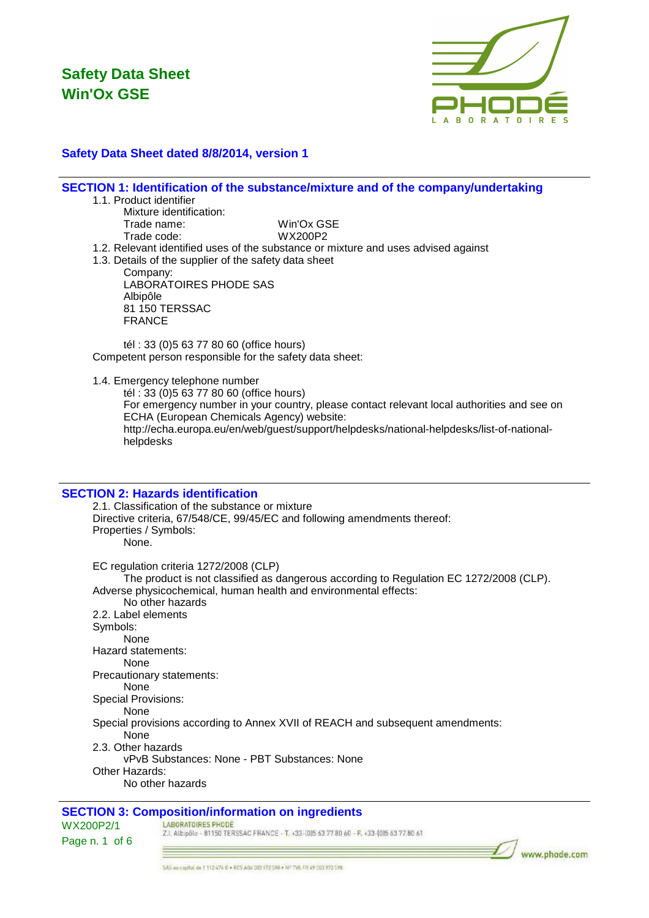

### **Safety Data Sheet dated 8/8/2014, version 1**

#### **SECTION 1: Identification of the substance/mixture and of the company/undertaking**

#### 1.1. Product identifier

Mixture identification: Trade name: Win'Ox GSE Trade code: WX200P2

- 1.2. Relevant identified uses of the substance or mixture and uses advised against
- 1.3. Details of the supplier of the safety data sheet

Company: LABORATOIRES PHODE SAS Albipôle 81 150 TERSSAC FRANCE

tél : 33 (0)5 63 77 80 60 (office hours) Competent person responsible for the safety data sheet:

1.4. Emergency telephone number

tél : 33 (0)5 63 77 80 60 (office hours) For emergency number in your country, please contact relevant local authorities and see on ECHA (European Chemicals Agency) website: http://echa.europa.eu/en/web/guest/support/helpdesks/national-helpdesks/list-of-nationalhelpdesks

#### **SECTION 2: Hazards identification**

2.1. Classification of the substance or mixture Directive criteria, 67/548/CE, 99/45/EC and following amendments thereof: Properties / Symbols: None. EC regulation criteria 1272/2008 (CLP) The product is not classified as dangerous according to Regulation EC 1272/2008 (CLP). Adverse physicochemical, human health and environmental effects: No other hazards 2.2. Label elements Symbols: None Hazard statements: None Precautionary statements: None Special Provisions: None Special provisions according to Annex XVII of REACH and subsequent amendments: None 2.3. Other hazards vPvB Substances: None - PBT Substances: None Other Hazards: No other hazards

#### **SECTION 3: Composition/information on ingredients**

#### LABORATOIRES PHODE

WX200P2/1 Page n. 1 of 6

Z.I. Albipõle - 81150 TERSSAC FRANCE - T. +33-(0)5 53 77 80 60 - F. +33-(0)5 63 77 80 61

www.phode.com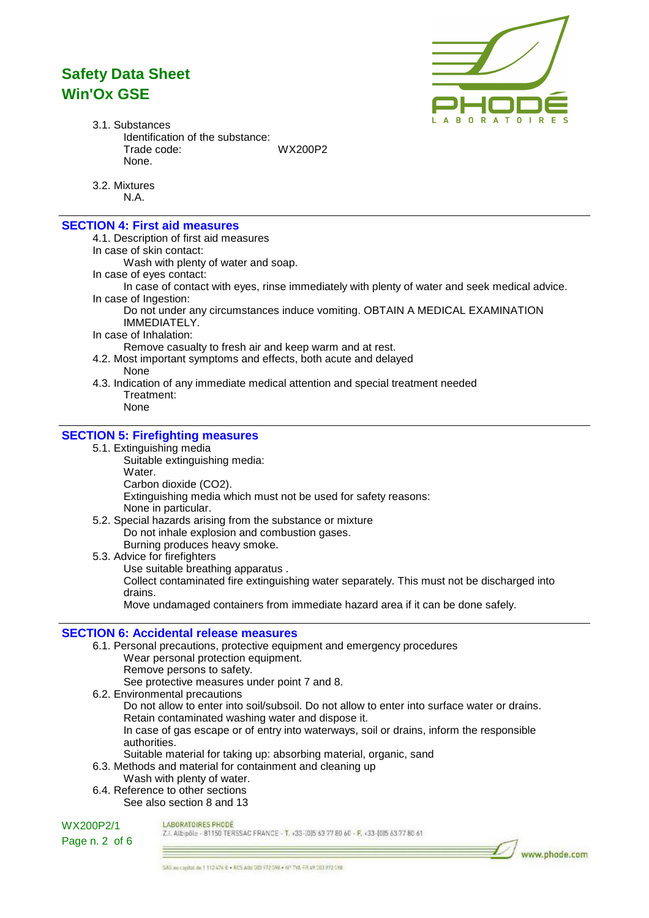

www.phode.com

3.1. Substances Identification of the substance: Trade code: WX200P2 None.

3.2. Mixtures N.A.

## **SECTION 4: First aid measures**

4.1. Description of first aid measures

In case of skin contact:

Wash with plenty of water and soap.

In case of eyes contact:

In case of contact with eyes, rinse immediately with plenty of water and seek medical advice. In case of Ingestion:

Do not under any circumstances induce vomiting. OBTAIN A MEDICAL EXAMINATION IMMEDIATELY.

In case of Inhalation:

Remove casualty to fresh air and keep warm and at rest.

4.2. Most important symptoms and effects, both acute and delayed

None

4.3. Indication of any immediate medical attention and special treatment needed Treatment:

None

#### **SECTION 5: Firefighting measures**

- 5.1. Extinguishing media
	- Suitable extinguishing media: Water. Carbon dioxide (CO2).

Extinguishing media which must not be used for safety reasons:

None in particular.

- 5.2. Special hazards arising from the substance or mixture Do not inhale explosion and combustion gases. Burning produces heavy smoke.
- 5.3. Advice for firefighters

Use suitable breathing apparatus .

Collect contaminated fire extinguishing water separately. This must not be discharged into drains.

Move undamaged containers from immediate hazard area if it can be done safely.

#### **SECTION 6: Accidental release measures**

- 6.1. Personal precautions, protective equipment and emergency procedures Wear personal protection equipment. Remove persons to safety. See protective measures under point 7 and 8.
- 6.2. Environmental precautions
	- Do not allow to enter into soil/subsoil. Do not allow to enter into surface water or drains. Retain contaminated washing water and dispose it. In case of gas escape or of entry into waterways, soil or drains, inform the responsible
		- authorities.
	- Suitable material for taking up: absorbing material, organic, sand
- 6.3. Methods and material for containment and cleaning up
- Wash with plenty of water.
- 6.4. Reference to other sections See also section 8 and 13



LABORATOIRES PHODE

Z.I. Albipôle - 81150 TERSSAC FRANCE - T. +33-1015 63 77 80 60 - F. +33-1015 63 77 80 61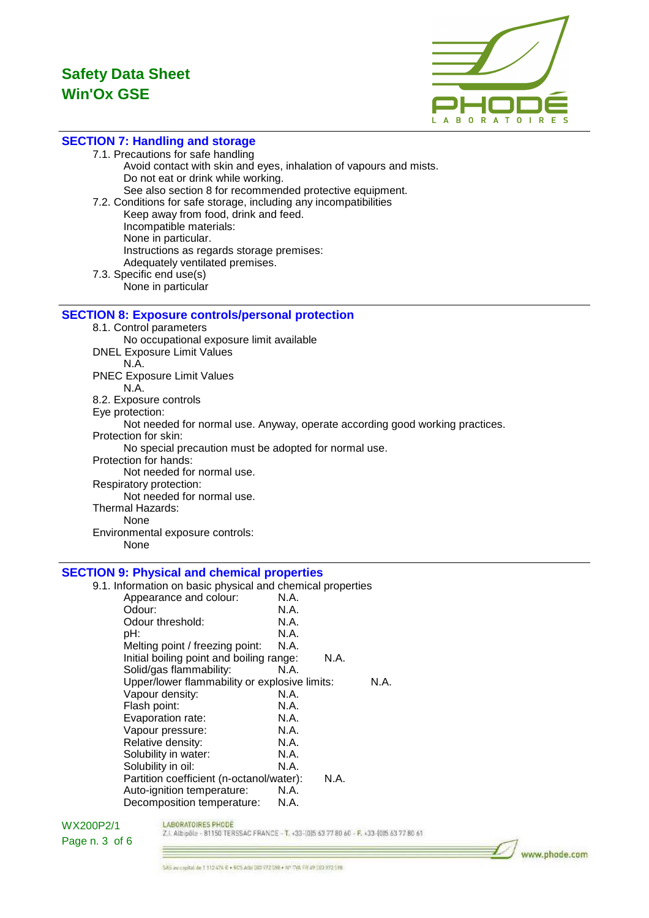

### **SECTION 7: Handling and storage**

7.1. Precautions for safe handling

Avoid contact with skin and eyes, inhalation of vapours and mists. Do not eat or drink while working. See also section 8 for recommended protective equipment. 7.2. Conditions for safe storage, including any incompatibilities Keep away from food, drink and feed. Incompatible materials: None in particular. Instructions as regards storage premises: Adequately ventilated premises. 7.3. Specific end use(s)

None in particular

### **SECTION 8: Exposure controls/personal protection**

8.1. Control parameters No occupational exposure limit available DNEL Exposure Limit Values N.A. PNEC Exposure Limit Values N.A. 8.2. Exposure controls Eye protection: Not needed for normal use. Anyway, operate according good working practices. Protection for skin: No special precaution must be adopted for normal use. Protection for hands: Not needed for normal use. Respiratory protection: Not needed for normal use. Thermal Hazards: None Environmental exposure controls: None

#### **SECTION 9: Physical and chemical properties**

| 9.1. Information on basic physical and chemical properties |      |      |      |
|------------------------------------------------------------|------|------|------|
| Appearance and colour:                                     | N.A. |      |      |
| Odour:                                                     | N.A. |      |      |
| Odour threshold:                                           | N.A. |      |      |
| pH:                                                        | N.A. |      |      |
| Melting point / freezing point:                            | N.A. |      |      |
| Initial boiling point and boiling range:                   |      | N.A. |      |
| Solid/gas flammability:                                    | N.A. |      |      |
| Upper/lower flammability or explosive limits:              |      |      | N.A. |
| Vapour density:                                            | N.A. |      |      |
| Flash point:                                               | N.A. |      |      |
| Evaporation rate:                                          | N.A. |      |      |
| Vapour pressure:                                           | N.A. |      |      |
| Relative density:                                          | N.A. |      |      |
| Solubility in water:                                       | N.A. |      |      |
| Solubility in oil:                                         | N.A. |      |      |
| Partition coefficient (n-octanol/water):                   |      | N.A. |      |
| Auto-ignition temperature:                                 | N.A. |      |      |
| Decomposition temperature:                                 | N.A. |      |      |

#### WX200P2/1 Page n. 3 of 6

LABORATOIRES PHODE Z.I. Albipôle - 81150 TERSSAC FRANCE - T. +33-(0)5 63 77 80 60 - F. +33-(0)5 63 77 80 61

www.phode.com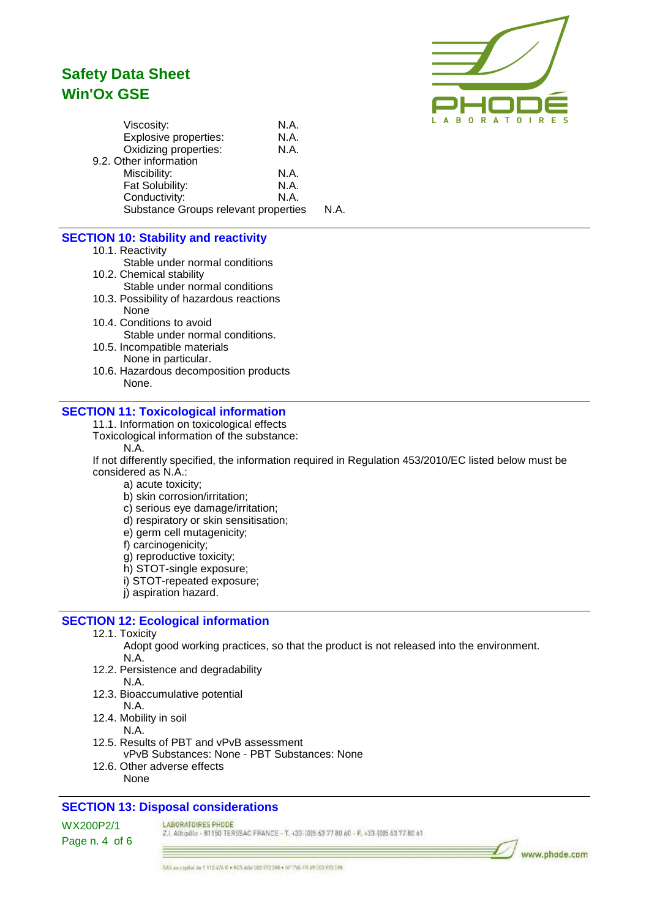

| Viscosity:                           | N.A. |      |
|--------------------------------------|------|------|
| Explosive properties:                | N.A. |      |
| Oxidizing properties:                | N.A. |      |
| 9.2. Other information               |      |      |
| Miscibility:                         | N.A. |      |
| Fat Solubility:                      | N.A. |      |
| Conductivity:                        | N.A. |      |
| Substance Groups relevant properties |      | N.A. |
|                                      |      |      |

## **SECTION 10: Stability and reactivity**

- 10.1. Reactivity
	- Stable under normal conditions
- 10.2. Chemical stability Stable under normal conditions
- 10.3. Possibility of hazardous reactions None
- 10.4. Conditions to avoid Stable under normal conditions.
- 10.5. Incompatible materials None in particular.
- 10.6. Hazardous decomposition products None.

#### **SECTION 11: Toxicological information**

11.1. Information on toxicological effects

- Toxicological information of the substance:
	- N.A.

If not differently specified, the information required in Regulation 453/2010/EC listed below must be considered as N.A.:

- a) acute toxicity;
- b) skin corrosion/irritation;
- c) serious eye damage/irritation;
- d) respiratory or skin sensitisation;
- e) germ cell mutagenicity;
- f) carcinogenicity;
- g) reproductive toxicity;
- h) STOT-single exposure;
- i) STOT-repeated exposure;
- j) aspiration hazard.

#### **SECTION 12: Ecological information**

- 12.1. Toxicity
	- Adopt good working practices, so that the product is not released into the environment. N.A.
- 12.2. Persistence and degradability N.A.
- 12.3. Bioaccumulative potential
- N.A. 12.4. Mobility in soil
	- N.A.
- 12.5. Results of PBT and vPvB assessment
	- vPvB Substances: None PBT Substances: None
- 12.6. Other adverse effects None

### **SECTION 13: Disposal considerations**

#### LABORATOIRES PHODE

Z.I. Albipôle - 81150 TERSSAC FRANCE - T. +33-1015 63 77 80 60 - F. +33-1015 63 77 80 61

WX200P2/1 Page n. 4 of 6

## www.phode.com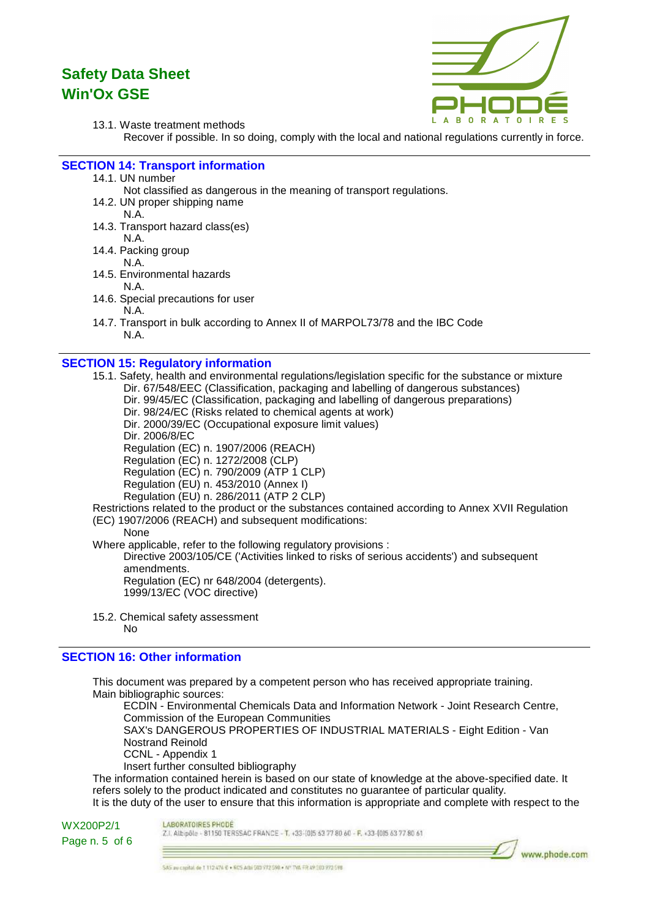13.1. Waste treatment methods



Recover if possible. In so doing, comply with the local and national regulations currently in force.

#### **SECTION 14: Transport information**

- 14.1. UN number
	- Not classified as dangerous in the meaning of transport regulations.
- 14.2. UN proper shipping name N.A.
- 14.3. Transport hazard class(es)
	- N.A.
- 14.4. Packing group
- N.A. 14.5. Environmental hazards
	- N.A.
- 14.6. Special precautions for user
	- N.A.
- 14.7. Transport in bulk according to Annex II of MARPOL73/78 and the IBC Code N.A.

#### **SECTION 15: Regulatory information**

15.1. Safety, health and environmental regulations/legislation specific for the substance or mixture Dir. 67/548/EEC (Classification, packaging and labelling of dangerous substances) Dir. 99/45/EC (Classification, packaging and labelling of dangerous preparations)

Dir. 98/24/EC (Risks related to chemical agents at work)

Dir. 2000/39/EC (Occupational exposure limit values)

Dir. 2006/8/EC

Regulation (EC) n. 1907/2006 (REACH)

Regulation (EC) n. 1272/2008 (CLP)

Regulation (EC) n. 790/2009 (ATP 1 CLP)

- Regulation (EU) n. 453/2010 (Annex I)
- Regulation (EU) n. 286/2011 (ATP 2 CLP)

Restrictions related to the product or the substances contained according to Annex XVII Regulation

- (EC) 1907/2006 (REACH) and subsequent modifications:
	- None

Where applicable, refer to the following regulatory provisions:

Directive 2003/105/CE ('Activities linked to risks of serious accidents') and subsequent amendments.

Regulation (EC) nr 648/2004 (detergents).

- 1999/13/EC (VOC directive)
- 15.2. Chemical safety assessment No

#### **SECTION 16: Other information**

This document was prepared by a competent person who has received appropriate training. Main bibliographic sources:

ECDIN - Environmental Chemicals Data and Information Network - Joint Research Centre, Commission of the European Communities SAX's DANGEROUS PROPERTIES OF INDUSTRIAL MATERIALS - Eight Edition - Van Nostrand Reinold CCNL - Appendix 1 Insert further consulted bibliography

The information contained herein is based on our state of knowledge at the above-specified date. It refers solely to the product indicated and constitutes no guarantee of particular quality.

It is the duty of the user to ensure that this information is appropriate and complete with respect to the

WX200P2/1 Page n. 5 of 6 LABORATOIRES PHODE

Z.I. Albipôle - 81150 TERSSAC FRANCE - T. +33-(0)5 63 77 80 60 - F. +33-(0)5 63 77 80 61